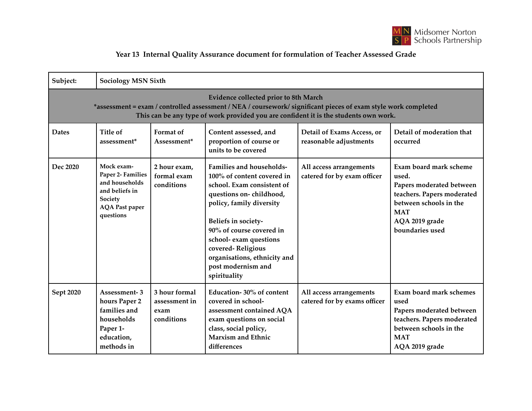

## **Year 13 Internal Quality Assurance document for formulation of Teacher Assessed Grade**

| Subject:                                                                                                                                                                                                                                               | <b>Sociology MSN Sixth</b>                                                                                           |                                                      |                                                                                                                                                                                                                                                                                                                            |                                                         |                                                                                                                                                                        |  |
|--------------------------------------------------------------------------------------------------------------------------------------------------------------------------------------------------------------------------------------------------------|----------------------------------------------------------------------------------------------------------------------|------------------------------------------------------|----------------------------------------------------------------------------------------------------------------------------------------------------------------------------------------------------------------------------------------------------------------------------------------------------------------------------|---------------------------------------------------------|------------------------------------------------------------------------------------------------------------------------------------------------------------------------|--|
| <b>Evidence collected prior to 8th March</b><br>*assessment = exam / controlled assessment / NEA / coursework/ significant pieces of exam style work completed<br>This can be any type of work provided you are confident it is the students own work. |                                                                                                                      |                                                      |                                                                                                                                                                                                                                                                                                                            |                                                         |                                                                                                                                                                        |  |
| <b>Dates</b>                                                                                                                                                                                                                                           | Title of<br>assessment*                                                                                              | Format of<br>Assessment*                             | Content assessed, and<br>proportion of course or<br>units to be covered                                                                                                                                                                                                                                                    | Detail of Exams Access, or<br>reasonable adjustments    | Detail of moderation that<br>occurred                                                                                                                                  |  |
| Dec 2020                                                                                                                                                                                                                                               | Mock exam-<br>Paper 2- Families<br>and households<br>and beliefs in<br>Society<br><b>AQA</b> Past paper<br>questions | 2 hour exam,<br>formal exam<br>conditions            | <b>Families and households-</b><br>100% of content covered in<br>school. Exam consistent of<br>questions on-childhood,<br>policy, family diversity<br>Beliefs in society-<br>90% of course covered in<br>school- exam questions<br>covered-Religious<br>organisations, ethnicity and<br>post modernism and<br>spirituality | All access arrangements<br>catered for by exam officer  | Exam board mark scheme<br>used.<br>Papers moderated between<br>teachers. Papers moderated<br>between schools in the<br><b>MAT</b><br>AQA 2019 grade<br>boundaries used |  |
| Sept 2020                                                                                                                                                                                                                                              | Assessment-3<br>hours Paper 2<br>families and<br>households<br>Paper 1-<br>education,<br>methods in                  | 3 hour formal<br>assessment in<br>exam<br>conditions | Education-30% of content<br>covered in school-<br>assessment contained AQA<br>exam questions on social<br>class, social policy,<br>Marxism and Ethnic<br>differences                                                                                                                                                       | All access arrangements<br>catered for by exams officer | Exam board mark schemes<br>used<br>Papers moderated between<br>teachers. Papers moderated<br>between schools in the<br><b>MAT</b><br>AQA 2019 grade                    |  |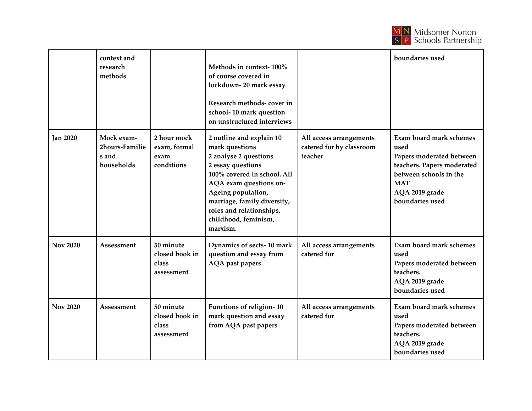

|                 | context and<br>research<br>methods                  |                                                    | Methods in context-100%<br>of course covered in<br>lockdown-20 mark essay<br>Research methods- cover in<br>school-10 mark question<br>on unstructured interviews                                                                                                       |                                                                | boundaries used                                                                                                                                                        |
|-----------------|-----------------------------------------------------|----------------------------------------------------|------------------------------------------------------------------------------------------------------------------------------------------------------------------------------------------------------------------------------------------------------------------------|----------------------------------------------------------------|------------------------------------------------------------------------------------------------------------------------------------------------------------------------|
| <b>Jan 2020</b> | Mock exam-<br>2hours-Familie<br>s and<br>households | 2 hour mock<br>exam, formal<br>exam<br>conditions  | 2 outline and explain 10<br>mark questions<br>2 analyse 2 questions<br>2 essay questions<br>100% covered in school. All<br>AQA exam questions on-<br>Ageing population,<br>marriage, family diversity,<br>roles and relationships,<br>childhood, feminism,<br>marxism. | All access arrangements<br>catered for by classroom<br>teacher | Exam board mark schemes<br>used<br>Papers moderated between<br>teachers. Papers moderated<br>between schools in the<br><b>MAT</b><br>AQA 2019 grade<br>boundaries used |
| <b>Nov 2020</b> | Assessment                                          | 50 minute<br>closed book in<br>class<br>assessment | Dynamics of sects-10 mark<br>question and essay from<br>AQA past papers                                                                                                                                                                                                | All access arrangements<br>catered for                         | <b>Exam board mark schemes</b><br>used<br>Papers moderated between<br>teachers.<br>AQA 2019 grade<br>boundaries used                                                   |
| <b>Nov 2020</b> | Assessment                                          | 50 minute<br>closed book in<br>class<br>assessment | Functions of religion-10<br>mark question and essay<br>from AQA past papers                                                                                                                                                                                            | All access arrangements<br>catered for                         | Exam board mark schemes<br>used<br>Papers moderated between<br>teachers.<br>AQA 2019 grade<br>boundaries used                                                          |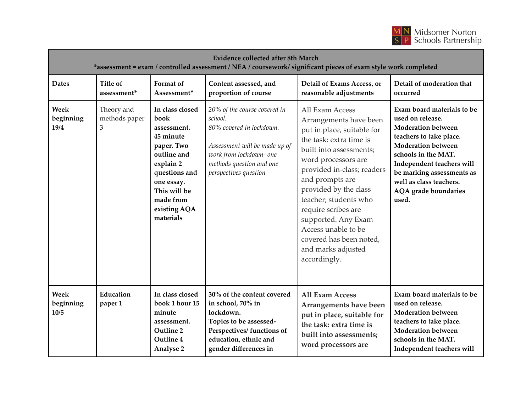

| <b>Evidence collected after 8th March</b><br>*assessment = exam / controlled assessment / NEA / coursework/ significant pieces of exam style work completed |                                  |                                                                                                                                                                                        |                                                                                                                                                                                      |                                                                                                                                                                                                                                                                                                                                                                                               |                                                                                                                                                                                                                                                                                         |
|-------------------------------------------------------------------------------------------------------------------------------------------------------------|----------------------------------|----------------------------------------------------------------------------------------------------------------------------------------------------------------------------------------|--------------------------------------------------------------------------------------------------------------------------------------------------------------------------------------|-----------------------------------------------------------------------------------------------------------------------------------------------------------------------------------------------------------------------------------------------------------------------------------------------------------------------------------------------------------------------------------------------|-----------------------------------------------------------------------------------------------------------------------------------------------------------------------------------------------------------------------------------------------------------------------------------------|
| <b>Dates</b>                                                                                                                                                | <b>Title of</b><br>assessment*   | Format of<br>Assessment*                                                                                                                                                               | Content assessed, and<br>proportion of course                                                                                                                                        | Detail of Exams Access, or<br>reasonable adjustments                                                                                                                                                                                                                                                                                                                                          | Detail of moderation that<br>occurred                                                                                                                                                                                                                                                   |
| Week<br>beginning<br>19/4                                                                                                                                   | Theory and<br>methods paper<br>3 | In class closed<br>book<br>assessment.<br>45 minute<br>paper. Two<br>outline and<br>explain 2<br>questions and<br>one essay.<br>This will be<br>made from<br>existing AQA<br>materials | 20% of the course covered in<br>school.<br>80% covered in lockdown.<br>Assessment will be made up of<br>work from lockdown- one<br>methods question and one<br>perspectives question | All Exam Access<br>Arrangements have been<br>put in place, suitable for<br>the task: extra time is<br>built into assessments;<br>word processors are<br>provided in-class; readers<br>and prompts are<br>provided by the class<br>teacher; students who<br>require scribes are<br>supported. Any Exam<br>Access unable to be<br>covered has been noted,<br>and marks adjusted<br>accordingly. | Exam board materials to be<br>used on release.<br><b>Moderation between</b><br>teachers to take place.<br><b>Moderation between</b><br>schools in the MAT.<br>Independent teachers will<br>be marking assessments as<br>well as class teachers.<br><b>AQA</b> grade boundaries<br>used. |
| Week<br>beginning<br>10/5                                                                                                                                   | Education<br>paper 1             | In class closed<br>book 1 hour 15<br>minute<br>assessment.<br>Outline 2<br>Outline 4<br>Analyse 2                                                                                      | 30% of the content covered<br>in school, 70% in<br>lockdown.<br>Topics to be assessed-<br>Perspectives/ functions of<br>education, ethnic and<br>gender differences in               | <b>All Exam Access</b><br>Arrangements have been<br>put in place, suitable for<br>the task: extra time is<br>built into assessments;<br>word processors are                                                                                                                                                                                                                                   | Exam board materials to be<br>used on release.<br><b>Moderation between</b><br>teachers to take place.<br><b>Moderation between</b><br>schools in the MAT.<br>Independent teachers will                                                                                                 |